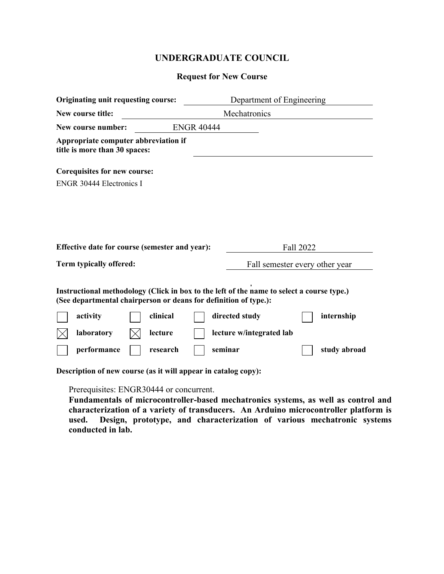# **UNDERGRADUATE COUNCIL**

## **Request for New Course**

| Originating unit requesting course:                                                                                                                                                                                                                                                                                              |  |                                | Department of Engineering |  |  |
|----------------------------------------------------------------------------------------------------------------------------------------------------------------------------------------------------------------------------------------------------------------------------------------------------------------------------------|--|--------------------------------|---------------------------|--|--|
| New course title:<br>Mechatronics                                                                                                                                                                                                                                                                                                |  |                                |                           |  |  |
| <b>ENGR 40444</b><br>New course number:                                                                                                                                                                                                                                                                                          |  |                                |                           |  |  |
| Appropriate computer abbreviation if<br>title is more than 30 spaces:                                                                                                                                                                                                                                                            |  |                                |                           |  |  |
| <b>Corequisites for new course:</b>                                                                                                                                                                                                                                                                                              |  |                                |                           |  |  |
| <b>ENGR 30444 Electronics I</b>                                                                                                                                                                                                                                                                                                  |  |                                |                           |  |  |
| Effective date for course (semester and year):                                                                                                                                                                                                                                                                                   |  |                                | Fall 2022                 |  |  |
| Term typically offered:                                                                                                                                                                                                                                                                                                          |  | Fall semester every other year |                           |  |  |
| Instructional methodology (Click in box to the left of the name to select a course type.)<br>(See departmental chairperson or deans for definition of type.):<br>clinical<br>directed study<br>activity<br>internship<br>laboratory<br>lecture<br>lecture w/integrated lab<br>seminar<br>performance<br>study abroad<br>research |  |                                |                           |  |  |

**Description of new course (as it will appear in catalog copy):**

Prerequisites: ENGR30444 or concurrent.

**Fundamentals of microcontroller-based mechatronics systems, as well as control and characterization of a variety of transducers. An Arduino microcontroller platform is used. Design, prototype, and characterization of various mechatronic systems conducted in lab.**